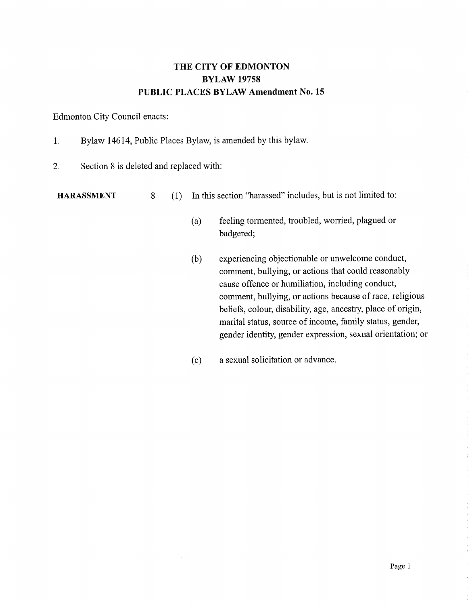## THE CITY OF EDMONTON BYLAW 19758 PUBLIC PLACES BYLAW Amendment No. 15

## Edmonton City Council enacts:

- 1. Bylaw 14614, Public Places Bylaw, is amended by this bylaw.
- 2. Section 8 is deleted and replaced with:

HARASSMENT 8 (1) In this section "harassed" includes, but is not limited to:

- (a) feeling tormented, troubled, worried, plagued or badgered;
- (b) experiencing objectionable or unwelcome conduct, comment, bullying, or actions that could reasonably cause offence or humiliation, including conduct, comment, bullying, or actions because of race, religious beliefs, colour, disability, age, ancestry, place of origin, marital status, source of income, family status, gender, gender identity, gender expression, sexual orientation; or
- (c) a sexual solicitation or advance.